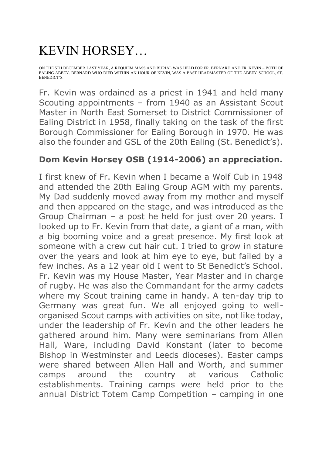## KEVIN HORSEY…

ON THE 5TH DECEMBER LAST YEAR, A REQUIEM MASS AND BURIAL WAS HELD FOR FR. BERNARD AND FR. KEVIN – BOTH OF EALING ABBEY. BERNARD WHO DIED WITHIN AN HOUR OF KEVIN, WAS A PAST HEADMASTER OF THE ABBEY SCHOOL, ST. BENEDICT'S.

Fr. Kevin was ordained as a priest in 1941 and held many Scouting appointments – from 1940 as an Assistant Scout Master in North East Somerset to District Commissioner of Ealing District in 1958, finally taking on the task of the first Borough Commissioner for Ealing Borough in 1970. He was also the founder and GSL of the 20th Ealing (St. Benedict's).

## **Dom Kevin Horsey OSB (1914-2006) an appreciation.**

I first knew of Fr. Kevin when I became a Wolf Cub in 1948 and attended the 20th Ealing Group AGM with my parents. My Dad suddenly moved away from my mother and myself and then appeared on the stage, and was introduced as the Group Chairman – a post he held for just over 20 years. I looked up to Fr. Kevin from that date, a giant of a man, with a big booming voice and a great presence. My first look at someone with a crew cut hair cut. I tried to grow in stature over the years and look at him eye to eye, but failed by a few inches. As a 12 year old I went to St Benedict's School. Fr. Kevin was my House Master, Year Master and in charge of rugby. He was also the Commandant for the army cadets where my Scout training came in handy. A ten-day trip to Germany was great fun. We all enjoyed going to wellorganised Scout camps with activities on site, not like today, under the leadership of Fr. Kevin and the other leaders he gathered around him. Many were seminarians from Allen Hall, Ware, including David Konstant (later to become Bishop in Westminster and Leeds dioceses). Easter camps were shared between Allen Hall and Worth, and summer camps around the country at various Catholic establishments. Training camps were held prior to the annual District Totem Camp Competition – camping in one